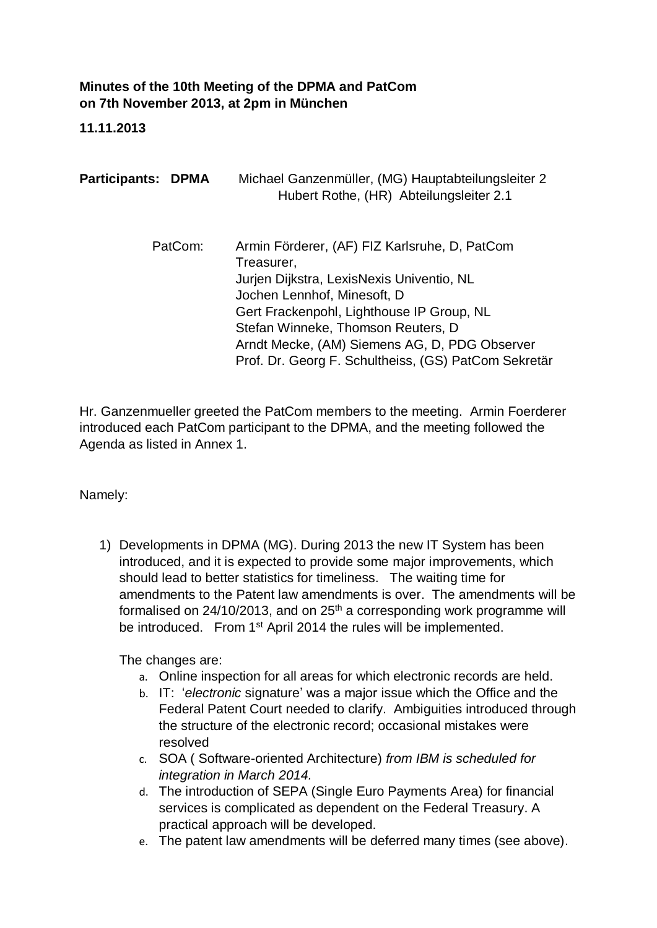## **Minutes of the 10th Meeting of the DPMA and PatCom on 7th November 2013, at 2pm in München**

## **11.11.2013**

| <b>Participants: DPMA</b> | Michael Ganzenmüller, (MG) Hauptabteilungsleiter 2<br>Hubert Rothe, (HR) Abteilungsleiter 2.1                                                                                                                                                                                                                                       |
|---------------------------|-------------------------------------------------------------------------------------------------------------------------------------------------------------------------------------------------------------------------------------------------------------------------------------------------------------------------------------|
| PatCom:                   | Armin Förderer, (AF) FIZ Karlsruhe, D, PatCom<br>Treasurer,<br>Jurjen Dijkstra, LexisNexis Univentio, NL<br>Jochen Lennhof, Minesoft, D<br>Gert Frackenpohl, Lighthouse IP Group, NL<br>Stefan Winneke, Thomson Reuters, D<br>Arndt Mecke, (AM) Siemens AG, D, PDG Observer<br>Prof. Dr. Georg F. Schultheiss, (GS) PatCom Sekretär |

Hr. Ganzenmueller greeted the PatCom members to the meeting. Armin Foerderer introduced each PatCom participant to the DPMA, and the meeting followed the Agenda as listed in Annex 1.

Namely:

1) Developments in DPMA (MG). During 2013 the new IT System has been introduced, and it is expected to provide some major improvements, which should lead to better statistics for timeliness. The waiting time for amendments to the Patent law amendments is over. The amendments will be formalised on  $24/10/2013$ , and on  $25<sup>th</sup>$  a corresponding work programme will be introduced. From 1<sup>st</sup> April 2014 the rules will be implemented.

The changes are:

- a. Online inspection for all areas for which electronic records are held.
- b. IT: '*electronic* signature' was a major issue which the Office and the Federal Patent Court needed to clarify. Ambiguities introduced through the structure of the electronic record; occasional mistakes were resolved
- c. SOA ( Software-oriented Architecture) *from IBM is scheduled for integration in March 2014.*
- d. The introduction of SEPA (Single Euro Payments Area) for financial services is complicated as dependent on the Federal Treasury. A practical approach will be developed.
- e. The patent law amendments will be deferred many times (see above).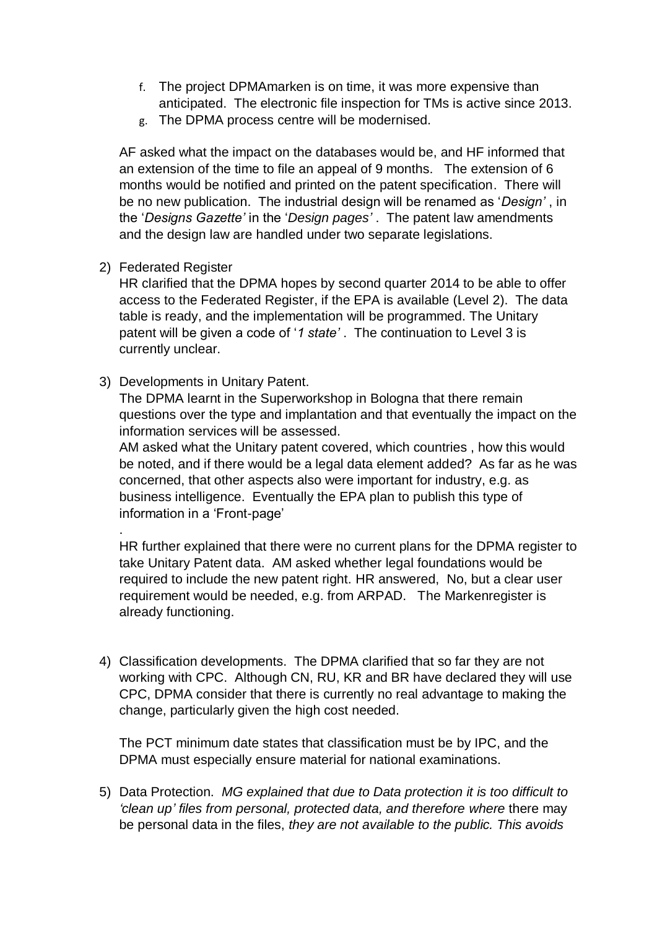- f. The project DPMAmarken is on time, it was more expensive than anticipated. The electronic file inspection for TMs is active since 2013.
- g. The DPMA process centre will be modernised.

AF asked what the impact on the databases would be, and HF informed that an extension of the time to file an appeal of 9 months. The extension of 6 months would be notified and printed on the patent specification. There will be no new publication. The industrial design will be renamed as '*Design'* , in the '*Designs Gazette'* in the '*Design pages'* . The patent law amendments and the design law are handled under two separate legislations.

2) Federated Register

.

HR clarified that the DPMA hopes by second quarter 2014 to be able to offer access to the Federated Register, if the EPA is available (Level 2). The data table is ready, and the implementation will be programmed. The Unitary patent will be given a code of '*1 state'* . The continuation to Level 3 is currently unclear.

3) Developments in Unitary Patent.

The DPMA learnt in the Superworkshop in Bologna that there remain questions over the type and implantation and that eventually the impact on the information services will be assessed.

AM asked what the Unitary patent covered, which countries , how this would be noted, and if there would be a legal data element added? As far as he was concerned, that other aspects also were important for industry, e.g. as business intelligence. Eventually the EPA plan to publish this type of information in a 'Front-page'

HR further explained that there were no current plans for the DPMA register to take Unitary Patent data. AM asked whether legal foundations would be required to include the new patent right. HR answered, No, but a clear user requirement would be needed, e.g. from ARPAD. The Markenregister is already functioning.

4) Classification developments. The DPMA clarified that so far they are not working with CPC. Although CN, RU, KR and BR have declared they will use CPC, DPMA consider that there is currently no real advantage to making the change, particularly given the high cost needed.

The PCT minimum date states that classification must be by IPC, and the DPMA must especially ensure material for national examinations.

5) Data Protection. *MG explained that due to Data protection it is too difficult to 'clean up' files from personal, protected data, and therefore where* there may be personal data in the files, *they are not available to the public. This avoids*